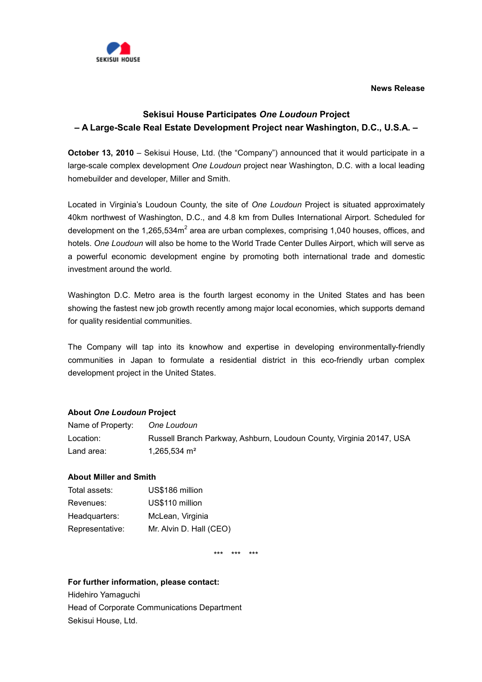**News Release**



## **Sekisui House Participates** *One Loudoun* **Project – A Large-Scale Real Estate Development Project near Washington, D.C., U.S.A. –**

**October 13, 2010** – Sekisui House, Ltd. (the "Company") announced that it would participate in a large-scale complex development *One Loudoun* project near Washington, D.C. with a local leading homebuilder and developer, Miller and Smith.

Located in Virginia's Loudoun County, the site of *One Loudoun* Project is situated approximately 40km northwest of Washington, D.C., and 4.8 km from Dulles International Airport. Scheduled for development on the 1,265,534m<sup>2</sup> area are urban complexes, comprising 1,040 houses, offices, and hotels. *One Loudoun* will also be home to the World Trade Center Dulles Airport, which will serve as a powerful economic development engine by promoting both international trade and domestic investment around the world.

Washington D.C. Metro area is the fourth largest economy in the United States and has been showing the fastest new job growth recently among major local economies, which supports demand for quality residential communities.

The Company will tap into its knowhow and expertise in developing environmentally-friendly communities in Japan to formulate a residential district in this eco-friendly urban complex development project in the United States.

## **About** *One Loudoun* **Project**

| Name of Property: | One Loudoun                                                          |
|-------------------|----------------------------------------------------------------------|
| Location:         | Russell Branch Parkway, Ashburn, Loudoun County, Virginia 20147, USA |
| Land area:        | 1.265.534 $\text{m}^2$                                               |

## **About Miller and Smith**

| Total assets:   | US\$186 million         |
|-----------------|-------------------------|
| Revenues:       | US\$110 million         |
| Headquarters:   | McLean, Virginia        |
| Representative: | Mr. Alvin D. Hall (CEO) |

\*\*\* \*\*\* \*\*\*

## **For further information, please contact:**

Hidehiro Yamaguchi Head of Corporate Communications Department Sekisui House, Ltd.